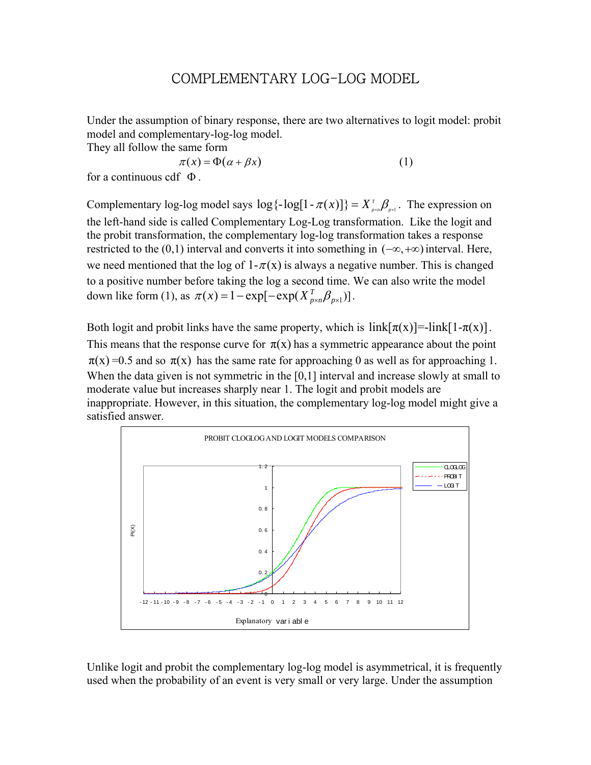# COMPLEMENTARY LOG-LOG MODEL

Under the assumption of binary response, there are two alternatives to logit model: probit model and complementary-log-log model.

They all follow the same form

 $\pi(x) = \Phi(\alpha + \beta x)$  (1)

for a continuous cdf  $\Phi$ .

Complementary log-log model says  $\log{\{-\log[1 - \pi(x)]\}} = X_{\text{post}}^T \beta_{\text{post}}$ . The expression on the left-hand side is called Complementary Log-Log transformation. Like the logit and the probit transformation, the complementary log-log transformation takes a response restricted to the (0,1) interval and converts it into something in  $(-\infty, +\infty)$  interval. Here, we need mentioned that the log of  $1-\pi(x)$  is always a negative number. This is changed to a positive number before taking the log a second time. We can also write the model down like form (1), as  $\pi(x) = 1 - \exp[-\exp(X_{p \times n}^T \beta_{p \times 1})]$ .

Both logit and probit links have the same property, which is  $link[\pi(x)]=link[1-\pi(x)]$ . This means that the response curve for  $\pi(x)$  has a symmetric appearance about the point  $\pi(x) = 0.5$  and so  $\pi(x)$  has the same rate for approaching 0 as well as for approaching 1. When the data given is not symmetric in the [0,1] interval and increase slowly at small to moderate value but increases sharply near 1. The logit and probit models are inappropriate. However, in this situation, the complementary log-log model might give a satisfied answer.



Unlike logit and probit the complementary log-log model is asymmetrical, it is frequently used when the probability of an event is very small or very large. Under the assumption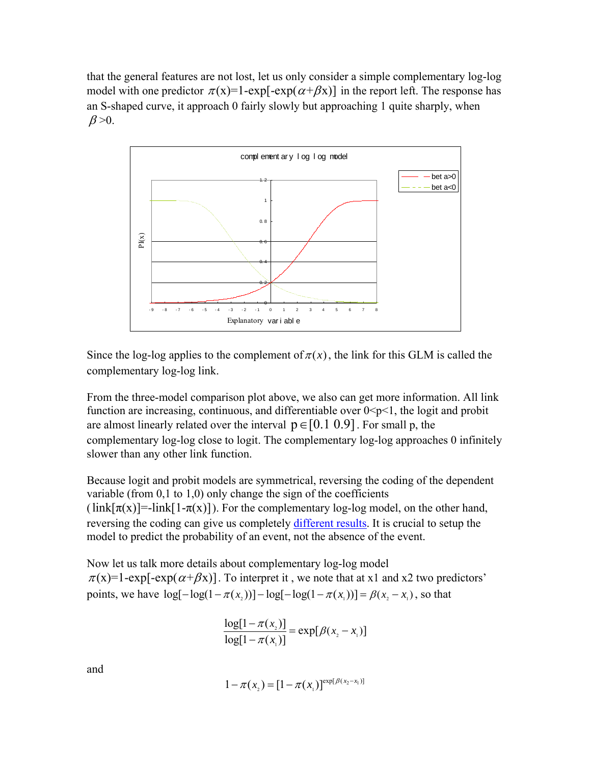that the general features are not lost, let us only consider a simple complementary log-log model with one predictor  $\pi(x)=1-\exp[-\exp(\alpha+\beta x)]$  in the report left. The response has an S-shaped curve, it approach 0 fairly slowly but approaching 1 quite sharply, when  $\beta > 0$ .



Since the log-log applies to the complement of  $\pi(x)$ , the link for this GLM is called the complementary log-log link.

From the three-model comparison plot above, we also can get more information. All link function are increasing, continuous, and differentiable over  $0 \le p \le 1$ , the logit and probit are almost linearly related over the interval  $p \in [0.1 \ 0.9]$ . For small p, the complementary log-log close to logit. The complementary log-log approaches 0 infinitely slower than any other link function.

Because logit and probit models are symmetrical, reversing the coding of the dependent variable (from 0,1 to 1,0) only change the sign of the coefficients  $(\text{link}[\pi(x)] = \text{link}[1-\pi(x)])$ . For the complementary log-log model, on the other hand, reversing the coding can give us completely different results. It is crucial to setup the model to predict the probability of an event, not the absence of the event.

Now let us talk more details about complementary log-log model  $\pi(x)=1$ -exp[-exp( $\alpha+\beta x$ )]. To interpret it, we note that at x1 and x2 two predictors' points, we have  $\log[-\log(1 - \pi(x))] - \log[-\log(1 - \pi(x))] = \beta(x, -x)$ , so that

$$
\frac{\log[1 - \pi(x_2)]}{\log[1 - \pi(x_1)]} = \exp[\beta(x_2 - x_1)]
$$

and

$$
1 - \pi(x_2) = [1 - \pi(x_1)]^{\exp[\beta(x_2 - x_1)]}
$$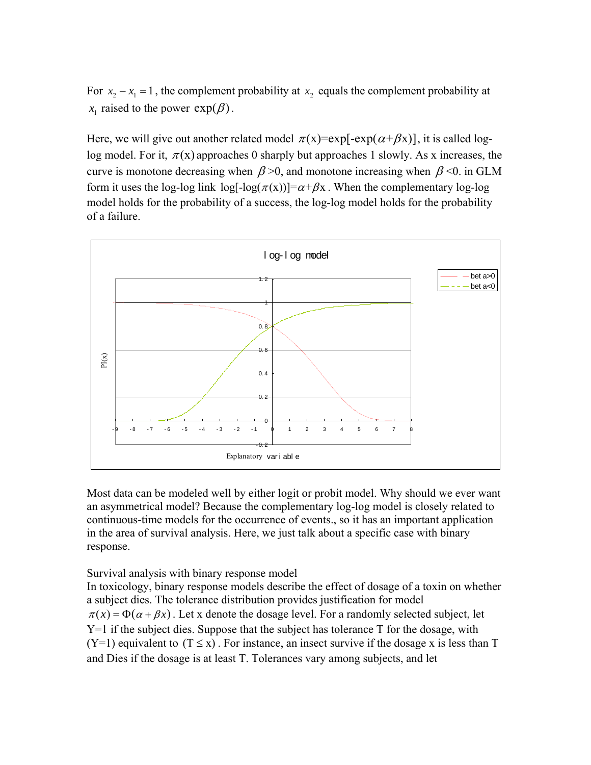For  $x_2 - x_1 = 1$ , the complement probability at  $x_2$  equals the complement probability at  $x_1$  raised to the power  $exp(\beta)$ .

Here, we will give out another related model  $\pi(x) = \exp[-\exp(\alpha + \beta x)]$ , it is called loglog model. For it,  $\pi(x)$  approaches 0 sharply but approaches 1 slowly. As x increases, the curve is monotone decreasing when  $\beta$  >0, and monotone increasing when  $\beta$  <0. in GLM form it uses the log-log link  $\log[-\log(\pi(x))] = \alpha + \beta x$ . When the complementary log-log model holds for the probability of a success, the log-log model holds for the probability of a failure.



Most data can be modeled well by either logit or probit model. Why should we ever want an asymmetrical model? Because the complementary log-log model is closely related to continuous-time models for the occurrence of events., so it has an important application in the area of survival analysis. Here, we just talk about a specific case with binary response.

Survival analysis with binary response model

In toxicology, binary response models describe the effect of dosage of a toxin on whether a subject dies. The tolerance distribution provides justification for model  $\pi(x) = \Phi(\alpha + \beta x)$ . Let x denote the dosage level. For a randomly selected subject, let Y=1 if the subject dies. Suppose that the subject has tolerance T for the dosage, with  $(Y=1)$  equivalent to  $(T \le x)$ . For instance, an insect survive if the dosage x is less than T and Dies if the dosage is at least T. Tolerances vary among subjects, and let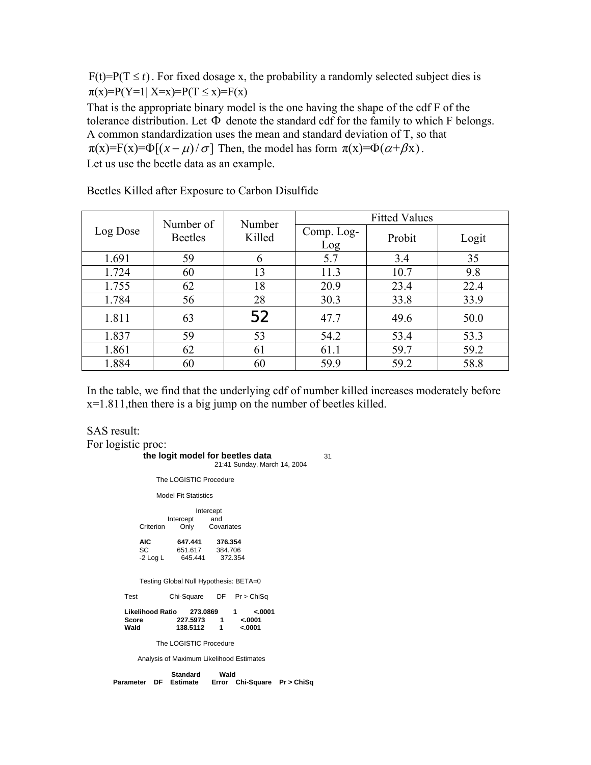$F(t)=P(T \le t)$ . For fixed dosage x, the probability a randomly selected subject dies is  $\pi(x)=P(Y=1 | X=x)=P(T \le x)=F(x)$ 

That is the appropriate binary model is the one having the shape of the cdf F of the tolerance distribution. Let  $\Phi$  denote the standard cdf for the family to which F belongs. A common standardization uses the mean and standard deviation of T, so that  $\pi(x)=F(x)=\Phi[(x-\mu)/\sigma]$  Then, the model has form  $\pi(x)=\Phi(\alpha+\beta x)$ . Let us use the beetle data as an example.

|          | Number of      | Number | <b>Fitted Values</b> |        |       |  |
|----------|----------------|--------|----------------------|--------|-------|--|
| Log Dose | <b>Beetles</b> | Killed | Comp. Log-<br>Log    | Probit | Logit |  |
| 1.691    | 59             | 6      | 5.7                  | 3.4    | 35    |  |
| 1.724    | 60             | 13     | 11.3                 | 10.7   | 9.8   |  |
| 1.755    | 62             | 18     | 20.9                 | 23.4   | 22.4  |  |
| 1.784    | 56             | 28     | 30.3                 | 33.8   | 33.9  |  |
| 1.811    | 63             | 52     | 47.7                 | 49.6   | 50.0  |  |
| 1.837    | 59             | 53     | 54.2                 | 53.4   | 53.3  |  |
| 1.861    | 62             | 61     | 61.1                 | 59.7   | 59.2  |  |
| 1.884    | 60             | 60     | 59.9                 | 59.2   | 58.8  |  |

Beetles Killed after Exposure to Carbon Disulfide

In the table, we find that the underlying cdf of number killed increases moderately before  $x=1.811$ , then there is a big jump on the number of beetles killed.

SAS result: For logistic proc: **the logit model for beetles data** 31 21:41 Sunday, March 14, 2004 The LOGISTIC Procedure Model Fit Statistics Intercept Intercept and<br>Criterion Only Cova Only Covariates **AIC 647.441 376.354**  SC 651.617 384.706<br>-2 Log L 645.441 372.354 645.441 Testing Global Null Hypothesis: BETA=0 Test Chi-Square DF Pr > ChiSq **Likelihood Ratio 273.0869 1 <.0001 Score 227.5973 1 <.0001 138.5112**  The LOGISTIC Procedure Analysis of Maximum Likelihood Estimates **Standard Wald Parameter DF Estimate Error Chi-Square Pr > ChiSq**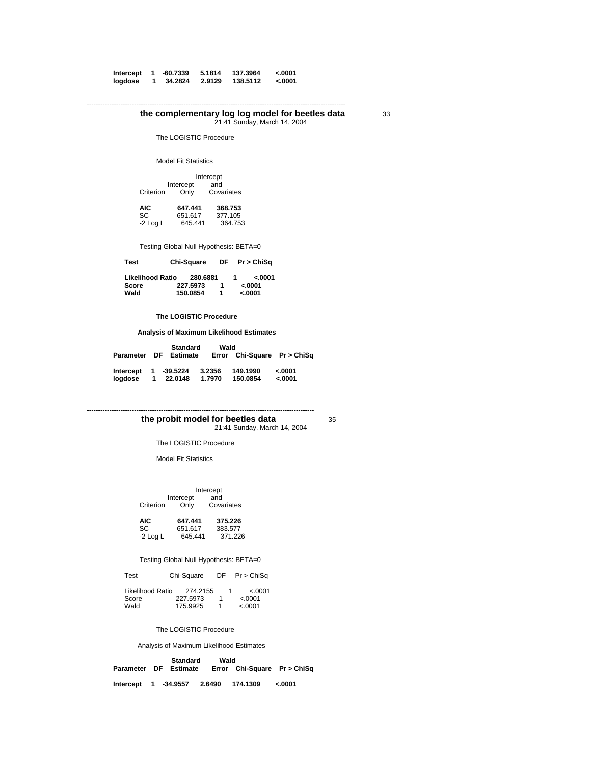| Intercept | -60.7339 | 5.1814 | 137.3964 | $-.0001$ |
|-----------|----------|--------|----------|----------|
| logdose   | 34.2824  | 2.9129 | 138.5112 | 0001.>   |

-------------------------------------------------------------------------------------------------------------------

#### **the complementary log log model for beetles data** 33 21:41 Sunday, March 14, 2004

The LOGISTIC Procedure

Model Fit Statistics

|           | Intercept         |                   |  |
|-----------|-------------------|-------------------|--|
| Criterion | Intercept<br>Only | and<br>Covariates |  |

 **AIC 647.441 368.753**  SC 651.617 377.105 **AIC** 647.441 368.753<br>
SC 651.617 377.105<br>
-2 Log L 645.441 364.753

Testing Global Null Hypothesis: BETA=0

 **Test Chi-Square DF Pr > ChiSq** 

| Likelihood Ratio | 280.6881 |  | 0.0001   |
|------------------|----------|--|----------|
| Score            | 227.5973 |  | $-.0001$ |
| Wald             | 150.0854 |  | $-.0001$ |

 **The LOGISTIC Procedure** 

 **Analysis of Maximum Likelihood Estimates** 

|                      |                  | <b>Standard</b>       | Wald             |                             |                      |
|----------------------|------------------|-----------------------|------------------|-----------------------------|----------------------|
|                      |                  | Parameter DF Estimate |                  | Error Chi-Sauare Pr > ChiSa |                      |
| Intercept<br>loadose | $\blacksquare$ 1 | 1 -39.5224<br>22.0148 | 3.2356<br>1.7970 | 149.1990<br>150.0854        | $-.0001$<br>$-.0001$ |

21:41 Sunday, March 14, 2004

---------------------------------------------------------------------------------------------------- **the probit model for beetles data** 35

The LOGISTIC Procedure

Model Fit Statistics

Intercept<br>and Intercept<br>Criterion Only Covariates

| AIC.       | 647.441 | 375.226 |
|------------|---------|---------|
| SC.        | 651.617 | 383.577 |
| $-2$ Log L | 645.441 | 371.226 |

Testing Global Null Hypothesis: BETA=0

| Test | Chi-Square | $DF$ Pr > ChiSq |
|------|------------|-----------------|
|      |            |                 |

| Likelihood Ratio | 274.2155 |  | < 0.001 |
|------------------|----------|--|---------|
| Score            | 227.5973 |  | < 0.001 |
| Wald             | 175.9925 |  | < 0001  |

The LOGISTIC Procedure

Analysis of Maximum Likelihood Estimates

**Standard Wald**<br>**Parameter DF Estimate Error ( Error Chi-Square Pr > ChiSq** 

 **Intercept 1 -34.9557 2.6490 174.1309 <.0001**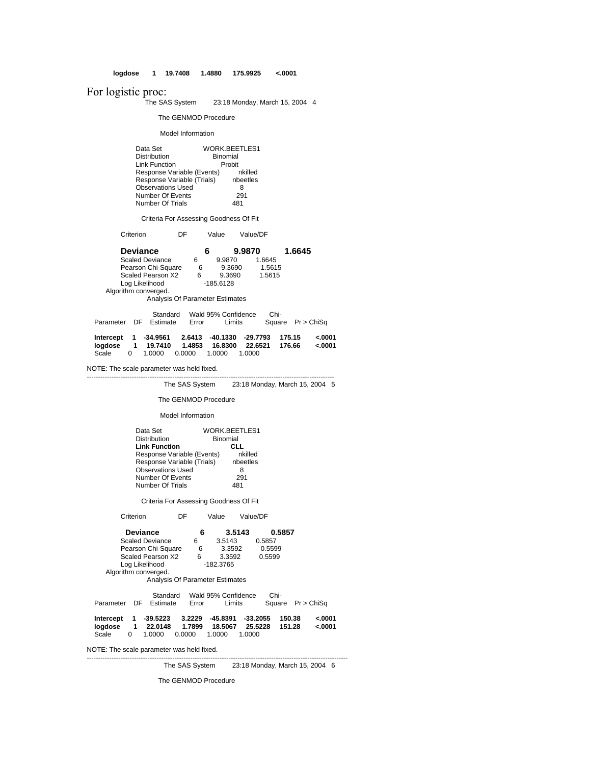**logdose 1 19.7408 1.4880 175.9925 <.0001**

For logistic proc:

The SAS System 23:18 Monday, March 15, 2004 4

The GENMOD Procedure

Model Information

Data Set WORK.BEETLES1<br>Distribution Binomial<br>Link Function Probit Distribution Binomial Link Function Probit Response Variable (Events) nkilled Response Variable (Trials) nbeetles Observations Used 8 Number Of Events 291 Number Of Trials 481

Criteria For Assessing Goodness Of Fit

Criterion DF Value Value/DF

|                    | <b>Deviance</b>      |                                   |          | 9.9870                           |        | 1.6645                            |  |
|--------------------|----------------------|-----------------------------------|----------|----------------------------------|--------|-----------------------------------|--|
|                    |                      | <b>Scaled Deviance</b>            | 6        | 9.9870                           | 1.6645 |                                   |  |
| Pearson Chi-Square |                      |                                   | 6        | 9.3690                           | 1.5615 |                                   |  |
| Scaled Pearson X2  |                      |                                   | 6        | 9.3690                           | 1.5615 |                                   |  |
|                    | Algorithm converged. | Log Likelihood                    |          | $-185.6128$                      |        |                                   |  |
|                    |                      | Analysis Of Parameter Estimates   |          |                                  |        |                                   |  |
|                    | nc<br>Darannator     | Standard<br>E <sub>ofim</sub> ata | $E$ rror | Wald 95% Confidence<br>$l$ imits | Chi-   | $D_{\text{max}}$ $D_{\text{min}}$ |  |

|  | Parameter DF Estimate | Error | Limits |  | Square Pr > ChiSq                                           |
|--|-----------------------|-------|--------|--|-------------------------------------------------------------|
|  |                       |       |        |  | Intercept 1 -34.9561 2.6413 -40.1330 -29.7793 175.15 <.0001 |

|                                     |  |  | logdose 1 19.7410 1.4853 16.8300 22.6521 176.66 <.0001 |  |
|-------------------------------------|--|--|--------------------------------------------------------|--|
| Scale 0 1.0000 0.0000 1.0000 1.0000 |  |  |                                                        |  |

--------------------------------------------------------------------------------------------------------------

NOTE: The scale parameter was held fixed.

The SAS System 23:18 Monday, March 15, 2004 5

The GENMOD Procedure

Model Information

| Data Set                   | <b>WORK.BEETLES1</b> |
|----------------------------|----------------------|
| <b>Distribution</b>        | <b>Binomial</b>      |
| <b>Link Function</b>       | CLL                  |
| Response Variable (Events) | nkilled              |
| Response Variable (Trials) | nbeetles             |
| <b>Observations Used</b>   | 8                    |
| Number Of Events           | 291                  |
| Number Of Trials           | 81                   |

Criteria For Assessing Goodness Of Fit

Criterion DF Value Value/DF

| <b>Deviance</b><br><b>Scaled Deviance</b><br>Pearson Chi-Square<br>Scaled Pearson X2<br>Log Likelihood<br>Algorithm converged.<br>Analysis Of Parameter Estimates | 6<br>6<br>6<br>6 | 3.5143<br>3.5143<br>3.3592<br>3.3592<br>$-182.3765$ | 0.5857<br>0.5857<br>0.5599<br>0.5599      |                    |
|-------------------------------------------------------------------------------------------------------------------------------------------------------------------|------------------|-----------------------------------------------------|-------------------------------------------|--------------------|
| Standard<br>Parameter<br>DE<br><b>Estimate</b>                                                                                                                    | Error            | Wald 95% Confidence<br>Limits                       | Chi-<br>Square                            | Pr > ChiSa         |
| -39.5223<br>Intercept<br>1<br>22.0148<br>logdose<br>1<br>Scale<br>$\Omega$<br>1.0000<br>0.0000                                                                    | 3.2229<br>1.7899 | -45.8391<br>18.5067<br>1.0000<br>1.0000             | 150.38<br>$-33.2055$<br>25.5228<br>151.28 | $-.0001$<br>0001.> |

--------------------------------------------------------------------------------------------------------------------

NOTE: The scale parameter was held fixed.

The SAS System 23:18 Monday, March 15, 2004 6

The GENMOD Procedure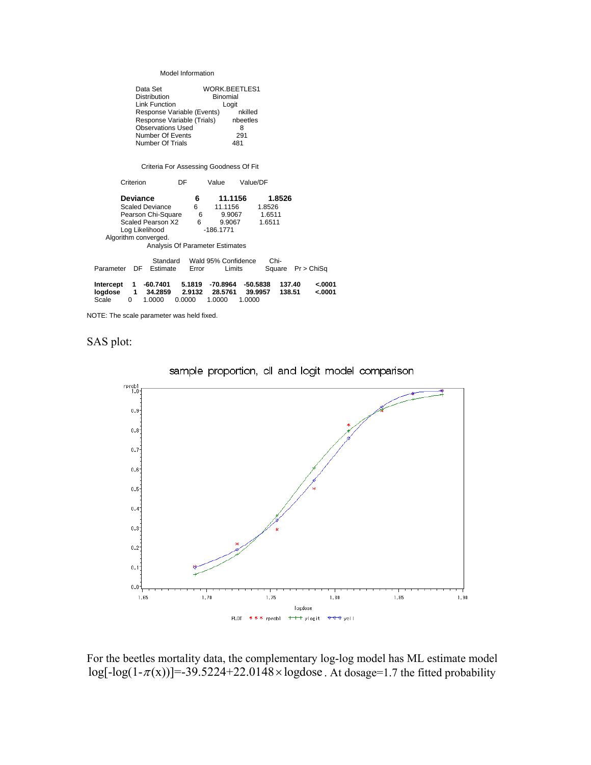| Data Set                   | <b>WORK.BEETLES1</b> |
|----------------------------|----------------------|
| <b>Distribution</b>        | <b>Binomial</b>      |
| <b>Link Function</b>       | Logit                |
| Response Variable (Events) | nkilled              |
| Response Variable (Trials) | nbeetles             |
| <b>Observations Used</b>   | 8                    |
| Number Of Events           | 291                  |
| Number Of Trials           | .81                  |

Criteria For Assessing Goodness Of Fit

| Criterion                       | DF     | Value               | Value/DF   |        |            |
|---------------------------------|--------|---------------------|------------|--------|------------|
| <b>Deviance</b>                 | 6      | 11.1156             |            | 1.8526 |            |
| <b>Scaled Deviance</b>          | 6      | 11.1156             | 1.8526     |        |            |
| Pearson Chi-Square              | 6      | 9.9067              | 1.6511     |        |            |
| Scaled Pearson X2               | 6      | 9.9067              | 1.6511     |        |            |
| Log Likelihood                  |        | $-186.1771$         |            |        |            |
| Algorithm converged.            |        |                     |            |        |            |
| Analysis Of Parameter Estimates |        |                     |            |        |            |
|                                 |        |                     |            |        |            |
| Standard                        |        | Wald 95% Confidence | Chi-       |        |            |
| Parameter<br>DF<br>Estimate     | Error  | Limits              | Square     |        | Pr > ChiSa |
|                                 |        |                     |            |        |            |
| $-60.7401$<br>Intercept<br>1    | 5.1819 | $-70.8964$          | $-50.5838$ | 137.40 | $-.0001$   |
| logdose<br>1<br>34.2859         | 2.9132 | 28.5761             | 39.9957    | 138.51 | 0001.>     |
| Scale<br>1.0000<br>0            | 0.0000 | 1.0000              | 1.0000     |        |            |

NOTE: The scale parameter was held fixed.







For the beetles mortality data, the complementary log-log model has ML estimate model  $log[-log(1-\pi(x))] = -39.5224 + 22.0148 \times log dose$ . At dosage=1.7 the fitted probability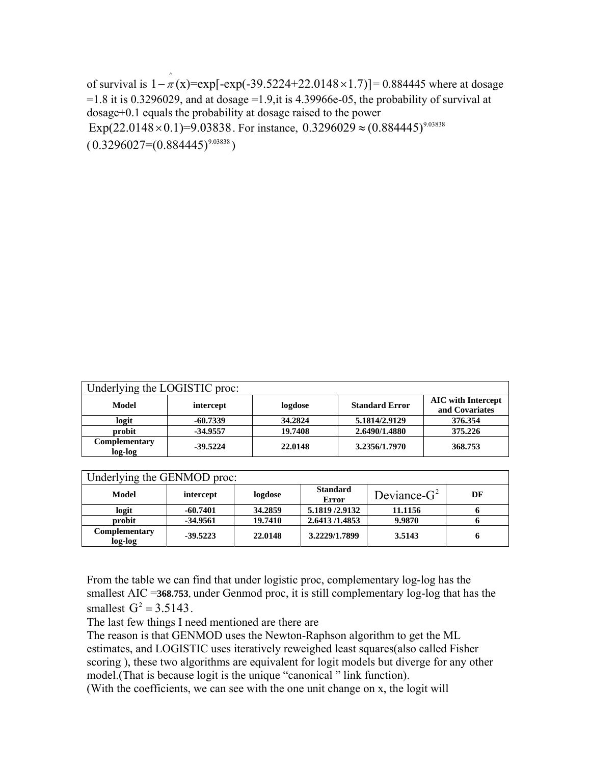of survival is  $1 - \hat{x}(x) = \exp[-\exp(-39.5224 + 22.0148 \times 1.7)] = 0.884445$  where at dosage  $=1.8$  it is 0.3296029, and at dosage  $=1.9$ , it is 4.39966e-05, the probability of survival at dosage+0.1 equals the probability at dosage raised to the power Exp(22.0148 × 0.1)=9.03838 For instance, 0.3296029  $\approx$  (0.884445)<sup>9.03838</sup>  $(0.3296027=(0.884445)^{9.03838})$ 

| Underlying the LOGISTIC proc: |            |         |                       |                                             |
|-------------------------------|------------|---------|-----------------------|---------------------------------------------|
| Model                         | intercept  | logdose | <b>Standard Error</b> | <b>AIC</b> with Intercept<br>and Covariates |
| logit                         | $-60.7339$ | 34.2824 | 5.1814/2.9129         | 376.354                                     |
| probit                        | $-34.9557$ | 19.7408 | 2.6490/1.4880         | 375.226                                     |
| Complementary<br>log-log      | $-39.5224$ | 22.0148 | 3.2356/1.7970         | 368.753                                     |

| Underlying the GENMOD proc: |            |         |                          |                |    |  |  |
|-----------------------------|------------|---------|--------------------------|----------------|----|--|--|
| Model                       | intercept  | logdose | <b>Standard</b><br>Error | Deviance- $G2$ | DF |  |  |
| logit                       | $-60.7401$ | 34.2859 | 5.1819 /2.9132           | 11.1156        |    |  |  |
| probit                      | $-34.9561$ | 19.7410 | 2.6413/1.4853            | 9.9870         |    |  |  |
| Complementary<br>log-log    | $-39.5223$ | 22.0148 | 3.2229/1.7899            | 3.5143         |    |  |  |

From the table we can find that under logistic proc, complementary log-log has the smallest AIC =**368.753**, under Genmod proc, it is still complementary log-log that has the smallest  $G^2 = 3.5143$ .

The last few things I need mentioned are there are

The reason is that GENMOD uses the Newton-Raphson algorithm to get the ML estimates, and LOGISTIC uses iteratively reweighed least squares(also called Fisher scoring ), these two algorithms are equivalent for logit models but diverge for any other model.(That is because logit is the unique "canonical " link function).

(With the coefficients, we can see with the one unit change on x, the logit will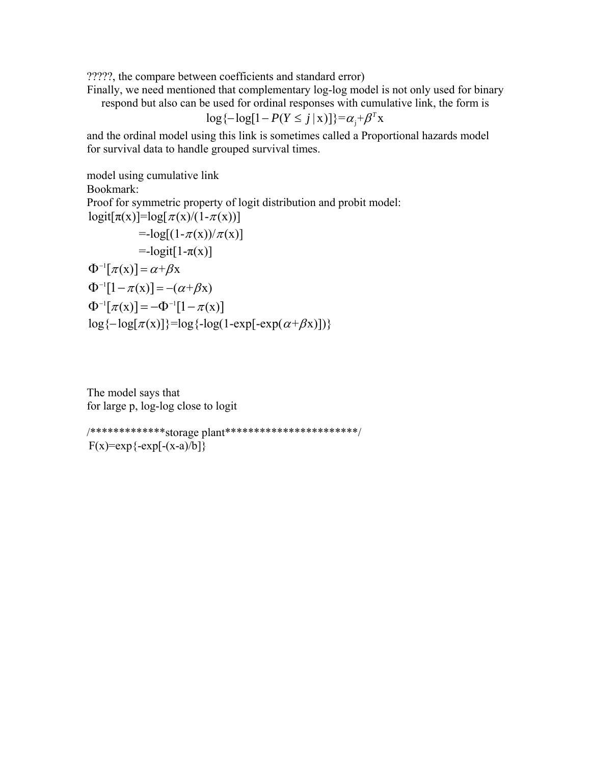?????, the compare between coefficients and standard error)

Finally, we need mentioned that complementary log-log model is not only used for binary

respond but also can be used for ordinal responses with cumulative link, the form is

$$
\log\{-\log[1 - P(Y \le j \mid x)]\} = \alpha_j + \beta^T x
$$

and the ordinal model using this link is sometimes called a Proportional hazards model for survival data to handle grouped survival times.

model using cumulative link

Bookmark:

Proof for symmetric property of logit distribution and probit model:  $logit[\pi(x)] = log[\pi(x)/(1-\pi(x))]$ 

$$
= -\log[(1-\pi(x))/\pi(x)]
$$
  
\n
$$
= -\log[(1-\pi(x))/\pi(x)]
$$
  
\n
$$
\Phi^{-1}[\pi(x)] = \alpha + \beta x
$$
  
\n
$$
\Phi^{-1}[1-\pi(x)] = -(\alpha + \beta x)
$$
  
\n
$$
\Phi^{-1}[\pi(x)] = -\Phi^{-1}[1-\pi(x)]
$$
  
\n
$$
\log{-\log[\pi(x)]} = \log{-\log[1-\exp(-\exp(\alpha+\beta x)])}
$$

The model says that for large p, log-log close to logit

/\*\*\*\*\*\*\*\*\*\*\*\*\*storage plant\*\*\*\*\*\*\*\*\*\*\*\*\*\*\*\*\*\*\*\*\*\*\*/  $F(x)=exp{-exp[-(x-a)/b]}$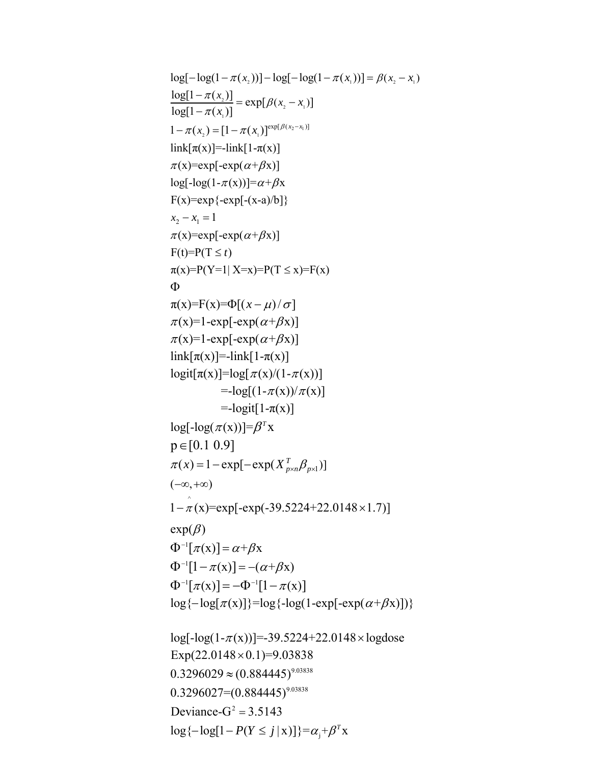```
log[-log(1 - \pi(x_2))] - log[-log(1 - \pi(x_1))] = \beta(x_2 - x_1)\frac{2^{j}}{1} = exp[\beta(x_2 - x_11
          \mathcal{Z}_2) = [1 - \pi(x_1)]^{\exp{(\mu_2 - x_1)}}1 - \pi(x_1) = [1 - \pi(x_1)]^{\exp[\beta(x_2 - x_1)]}(x, -x)\frac{\log[1 - \pi(x_2)]}{\log[1 - \pi(x_1)]} = \exp[ \beta(x_2 - x_1)]\lim k[\pi(x)]=-\lim k[1-\pi(x)]\pi(x) = \exp[-\exp(\alpha + \beta x)]log[-log(1-\pi(x))] = \alpha + \beta xF(x)=exp{-exp[-(x-a)/b]}\frac{\pi(x_2)}{\pi(x_1)} = \exp[\beta]\frac{-\pi(x_2)}{-\pi(x_1)} = \exp[\beta(x_2 - \pi(x_1))]x_2 - x_1 = 1\pi(x) = \exp[-\exp(\alpha + \beta x)]F(t)=P(T \le t)\pi(x)=P(Y=1 | X=x)=P(T \le x)=F(x)\pi(x)=F(x)=\Phi[(x-\mu)/\sigma]\pi(x)=1-exp[-exp(\alpha+\beta x)]
\pi(x)=1-exp[-exp(\alpha+\beta x)]
\text{link}[\pi(x)]=\text{link}[1-\pi(x)]logit[\pi(x)] = log[\pi(x)/(1-\pi(x))]Φ
1-\hat{\pi}(x)=exp[-exp(-39.5224+22.0148 × 1.7)]
\Phi^{-1}[\pi(x)] = \alpha + \beta x\Phi^{-1}[1-\pi(x)]=-(\alpha+\beta x)\pi(x) = 1 - \exp[-\exp(X_{p \times n}^T \beta_{p \times 1})](-\infty, +\infty)=\log[(1-\pi(x))/\pi(x)]=-logit[1-\pi(x)]
log[-log(\pi(x))] = \beta^{T}xexp(\beta)p \in [0.1 \ 0.9]\Phi^{-1}[\pi(x)] = -\Phi^{-1}[1-\pi(x)]0.3296029 \approx (0.884445)^{9.03838}0.3296027=(0.884445)^{9.03838}Deviance-G^2 = 3.5143log{-log[<math>\pi(x)</math>]} = log{-log(1-exp[-exp(<math>\alpha+\beta x)</math>])}log[-log(1-\pi(x))] = -39.5224 + 22.0148 \times log doseExp(22.0148 \times 0.1)=9.03838\log{-\log[1 - P(Y \le j | x)]} = \alpha_j + \beta^T x
```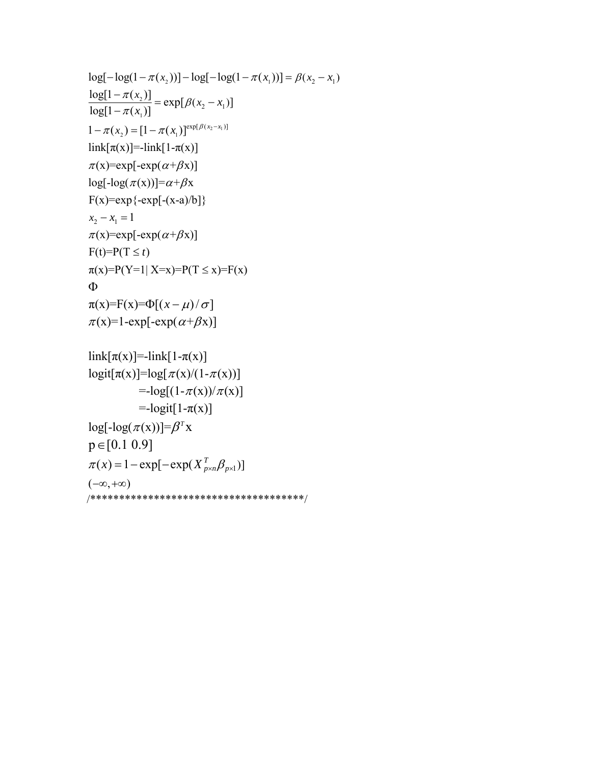```
\mathcal{L}_2) = [1 - \pi(x_1)]^{\exp[\rho(x_2 - x_1]}log[-log(1 - \pi(x_2))] - log[-log(1 - \pi(x_1))] = \beta(x_2 - x_1)2
                  1
                                    (x_2 - x_1)1 - \pi(x_1) = [1 - \pi(x_1)]^{\exp[\beta(x_2 - x_1)]}\frac{\log[1 - \pi(x_2)]}{\log[1 - \pi(x_1)]} = \exp[ \beta(x_2 - x_1)]link[\pi(x)] = -link[1-\pi(x)]\pi(x) = \exp[-\exp(\alpha + \beta x)]log[-log(\pi(x))] = \alpha + \beta xF(x)=exp{-exp[-(x-a)/b]}\frac{\pi(x_2)}{\pi(x_1)} = \exp[\beta]\frac{-\pi(x_2)}{-\pi(x_1)} = \exp[\beta(x_2 - \pi(x_1))]x_2 - x_1 = 1\pi(x) = \exp[-\exp(\alpha + \beta x)]F(t)=P(T \le t)\pi(x)=P(Y=1 | X=x)=P(T \le x)=F(x)\pi(x)=F(x)=\Phi[(x-\mu)/\sigma]\pi(x)=1-exp[-exp(\alpha+\beta x)]
Φ
```

```
link[\pi(x)] = -link[1-\pi(x)]logit[\pi(x)] = log[\pi(x)/(1-\pi(x))]=\log[(1-\pi(x))/\pi(x)]\pi(x) = 1 - \exp[-\exp(X_{p \times n}^T \beta_{p \times 1})](-\infty, +\infty)=-logit[1-\pi(x)]
log[-log(\pi(x))] = \beta^{T}xp \in [0.1 \ 0.9]/*************************************/
```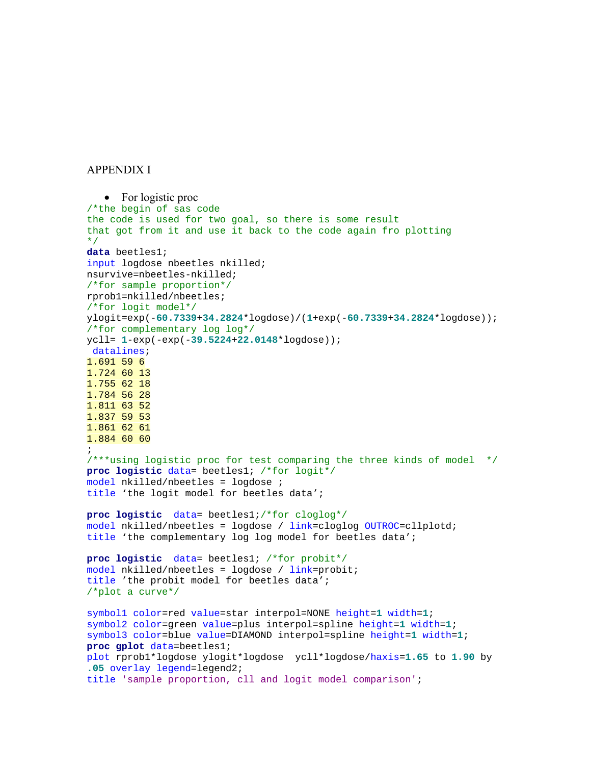APPENDIX I

```
• For logistic proc
/*the begin of sas code 
the code is used for two goal, so there is some result 
that got from it and use it back to the code again fro plotting 
*/
data beetles1; 
input logdose nbeetles nkilled; 
nsurvive=nbeetles-nkilled; 
/*for sample proportion*/
rprob1=nkilled/nbeetles; 
/*for logit model*/
ylogit=exp(-60.7339+34.2824*logdose)/(1+exp(-60.7339+34.2824*logdose)); 
/*for complementary log log*/
ycll= 1-exp(-exp(-39.5224+22.0148*logdose)); 
 datalines;
1.691 59 6 
1.724 60 13 
1.755 62 18 
1.784 56 28 
1.811 63 52 
1.837 59 53 
1.861 62 61 
1.884 60 60 
; 
/***using logistic proc for test comparing the three kinds of model */
proc logistic data= beetles1; /*for logit*/
model nkilled/nbeetles = logdose ; 
title 'the logit model for beetles data'; 
proc logistic data= beetles1;/*for cloglog*/
model nkilled/nbeetles = logdose / link=cloglog OUTROC=cllplotd; 
title 'the complementary log log model for beetles data'; 
proc logistic data= beetles1; /*for probit*/
model nkilled/nbeetles = logdose / link=probit; 
title 'the probit model for beetles data'; 
/*plot a curve*/
symbol1 color=red value=star interpol=NONE height=1 width=1; 
symbol2 color=green value=plus interpol=spline height=1 width=1; 
symbol3 color=blue value=DIAMOND interpol=spline height=1 width=1; 
proc gplot data=beetles1; 
plot rprob1*logdose ylogit*logdose ycll*logdose/haxis=1.65 to 1.90 by 
.05 overlay legend=legend2; 
title 'sample proportion, cll and logit model comparison';
```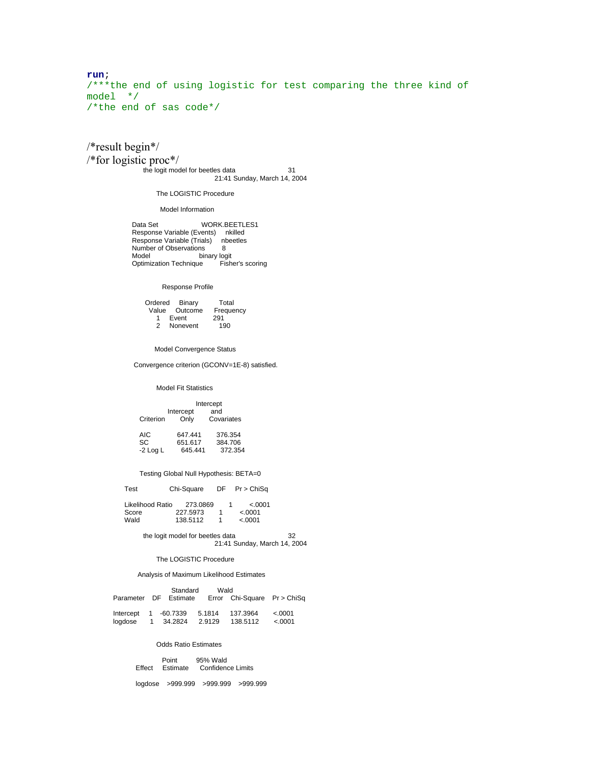**run**; /\*\*\*the end of using logistic for test comparing the three kind of model \*/ /\*the end of sas code\*/

/\*result begin\*/ /\*for logistic proc\*/ the logit model for beetles data 31 21:41 Sunday, March 14, 2004

The LOGISTIC Procedure

Model Information

Data Set WORK.BEETLES1 Response Variable (Events) nkilled Response Variable (Trials) nbeetles Number of Observations 8 Model binary logit Optimization Technique Fisher's scoring

# Response Profile

 Ordered Binary Total Value Outcome Frequency<br>1 Event 291 1 Event 291 2 Nonevent 190

Model Convergence Status

Convergence criterion (GCONV=1E-8) satisfied.

## Model Fit Statistics

|           | Intercept         |                   |  |
|-----------|-------------------|-------------------|--|
| Criterion | Intercept<br>Only | and<br>Covariates |  |
|           |                   |                   |  |

| AIC.       | 647.441 | 376.354 |
|------------|---------|---------|
| SC.        | 651.617 | 384.706 |
| $-2$ Log L | 645.441 | 372.354 |

# Testing Global Null Hypothesis: BETA=0

Test Chi-Square DF Pr > ChiSq

| Likelihood Ratio | 273.0869 |  | < 0.001 |
|------------------|----------|--|---------|
| Score            | 227.5973 |  | < 0001  |
| Wald             | 138.5112 |  | < 0.001 |

 the logit model for beetles data 32 21:41 Sunday, March 14, 2004

The LOGISTIC Procedure

### Analysis of Maximum Likelihood Estimates

|                      | Standard              | Wald   |                             |         |
|----------------------|-----------------------|--------|-----------------------------|---------|
|                      | Parameter DF Estimate |        | Error Chi-Square Pr > ChiSq |         |
|                      |                       |        |                             |         |
| Intercept 1 -60.7339 |                       | 5.1814 | 137.3964                    | < .0001 |
| loadose              | 1 34.2824             | 2.9129 | 138.5112                    | &0.001  |

#### Odds Ratio Estimates

|  | Point<br>Effect Estimate | 95% Wald<br>Confidence Limits |
|--|--------------------------|-------------------------------|
|--|--------------------------|-------------------------------|

logdose >999.999 >999.999 >999.999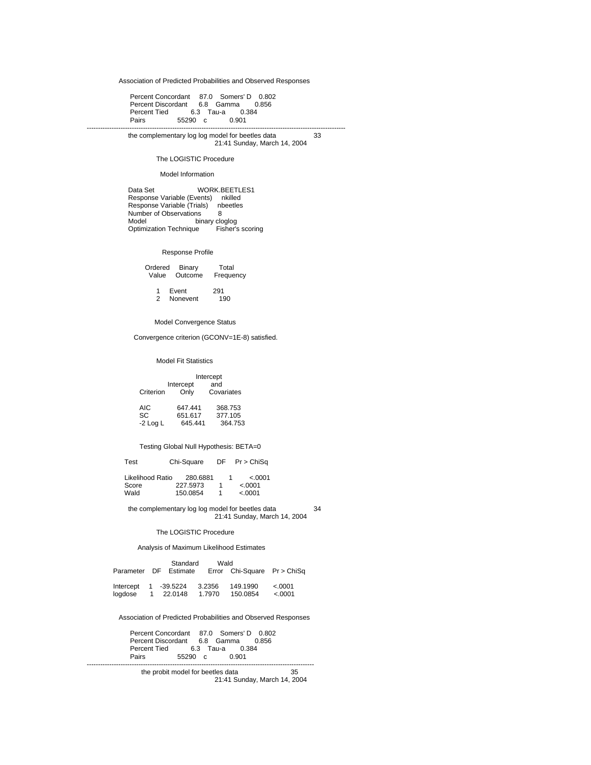Association of Predicted Probabilities and Observed Responses

 Percent Concordant 87.0 Somers' D 0.802 Percent Discordant 6.8 Gamma 0.856 Percent Tied 6.3 Tau-a 0.3<br>Pairs 55290 c 0.901 55290 c -------------------------------------------------------------------------------------------------------------------

 the complementary log log model for beetles data 33 21:41 Sunday, March 14, 2004

The LOGISTIC Procedure

### Model Information

Data Set WORK.BEETLES1 Response Variable (Events) nkilled Response Variable (Trials) nbeetles Number of Observations 8<br>Model binary close binary cloglog<br>ue Fisher's scoring Optimization Technique

#### Response Profile

| Ordered Binary | Total     |
|----------------|-----------|
| Value Outcome  | Frequency |

1 Event 291<br>2 Nonevent 190 2 Nonevent

Model Convergence Status

Convergence criterion (GCONV=1E-8) satisfied.

### Model Fit Statistics

 Intercept Intercept and<br>Criterion Only Cova Covariates

| AIC.       | 647.441 | 368.753 |
|------------|---------|---------|
| SC.        | 651.617 | 377.105 |
| $-2$ Log L | 645.441 | 364.753 |

# Testing Global Null Hypothesis: BETA=0

Test Chi-Square DF Pr > ChiSq

Likelihood Ratio 280.6881 1 <.0001<br>Score 227.5973 1 <.0001 Score 227.5973 1 <.0001<br>Wald 150.0854 1 <.0001  $150.0854$  1

 the complementary log log model for beetles data 34 21:41 Sunday, March 14, 2004

### The LOGISTIC Procedure

Analysis of Maximum Likelihood Estimates

|                        | Standard              |        | Wald                        |         |
|------------------------|-----------------------|--------|-----------------------------|---------|
|                        | Parameter DF Estimate |        | Error Chi-Square Pr > ChiSq |         |
|                        |                       |        |                             |         |
| Intercept $1 -39.5224$ |                       | 3.2356 | 149.1990                    | < 0.001 |
| loadose                | 1 22.0148             | 1.7970 | 150.0854                    | < 0001  |

Association of Predicted Probabilities and Observed Responses

 Percent Concordant 87.0 Somers' D 0.802 Percent Discordant 6.8 Gamma 0.856 Percent Tied 6.3 Tau-a 0.384 Percent Tied 6.3 Tau-a 0.3<br>Pairs 55290 c 0.901

-----------------------------------------------------------------------------------------------------

 the probit model for beetles data 35 21:41 Sunday, March 14, 2004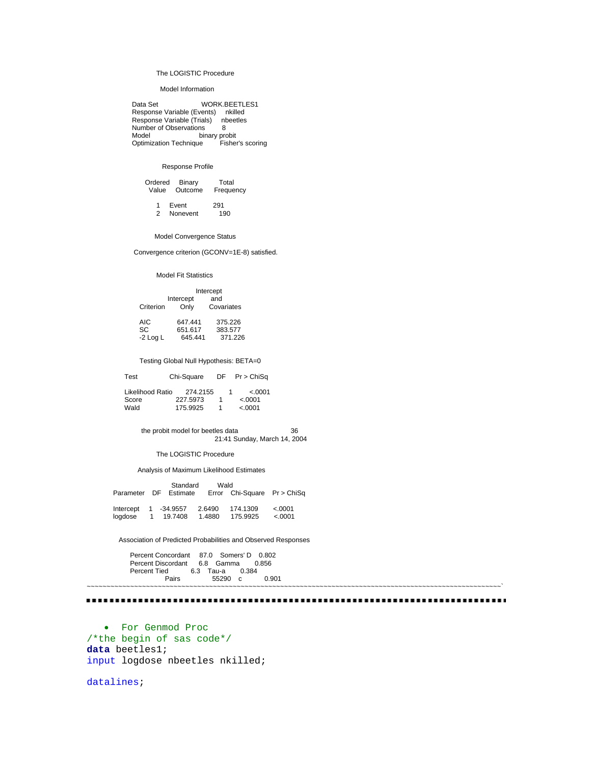# The LOGISTIC Procedure

### Model Information

Data Set WORK.BEETLES1 Response Variable (Events) nkilled Response Variable (Trials) nbeetles Number of Observations 8<br>Model binary pro seerranene<br>binary probit<br>Technique Fisher's scoring Modern<br>Optimization Technique

## Response Profile

|  | Ordered Binary<br>Value Outcome | Total<br>Frequency |
|--|---------------------------------|--------------------|
|  | 1 Event                         | 291                |

2 Nonevent 190

Model Convergence Status

Convergence criterion (GCONV=1E-8) satisfied.

### Model Fit Statistics

|           | Intercept  |            |  |
|-----------|------------|------------|--|
|           | Intercept  | and        |  |
| Criterion | Only       | Covariates |  |
| AIC       | 647.441    | 375.226    |  |
| c∩        | C E 4 C 47 | 202577     |  |

| SC       | 651.617 | 383.577 |
|----------|---------|---------|
| -2 Log L | 645.441 | 371.226 |

# Testing Global Null Hypothesis: BETA=0

| Test                      | Chi-Sauare           | DF Pr > ChiSa      |
|---------------------------|----------------------|--------------------|
| Likelihood Ratio<br>Score | 274.2155<br>227.5973 | < 0.001<br>< .0001 |
| Wald                      | 175.9925             | < .0001            |

 the probit model for beetles data 36 21:41 Sunday, March 14, 2004

The LOGISTIC Procedure

Analysis of Maximum Likelihood Estimates

|                      | Standard              | Wald   |                             |          |
|----------------------|-----------------------|--------|-----------------------------|----------|
|                      | Parameter DF Estimate |        | Error Chi-Square Pr > ChiSq |          |
|                      |                       |        |                             |          |
| Intercept 1 -34.9557 |                       | 2.6490 | 174.1309                    | < 0.0001 |
| loadose              | 1 19.7408             | 1.4880 | 175.9925                    | &0.001   |

Association of Predicted Probabilities and Observed Responses

 Percent Concordant 87.0 Somers' D 0.802 Percent Discordant 6.8 Gamma 0.856 Percent Tied 6.3 Tau-a 0.384 Pairs 55290 c 0.901

~~~~~~~~~~~~~~~~~~~~~~~~~~~~~~~~~~~~~~~~~~~~~~~~~~~~~~~~~~~~~~~~~~~~~~~~~~~~~~~~~~~~~~~~~~~~~~~~~~~~~~~~~` 

• For Genmod Proc /\*the begin of sas code\*/ **data** beetles1; input logdose nbeetles nkilled;

datalines;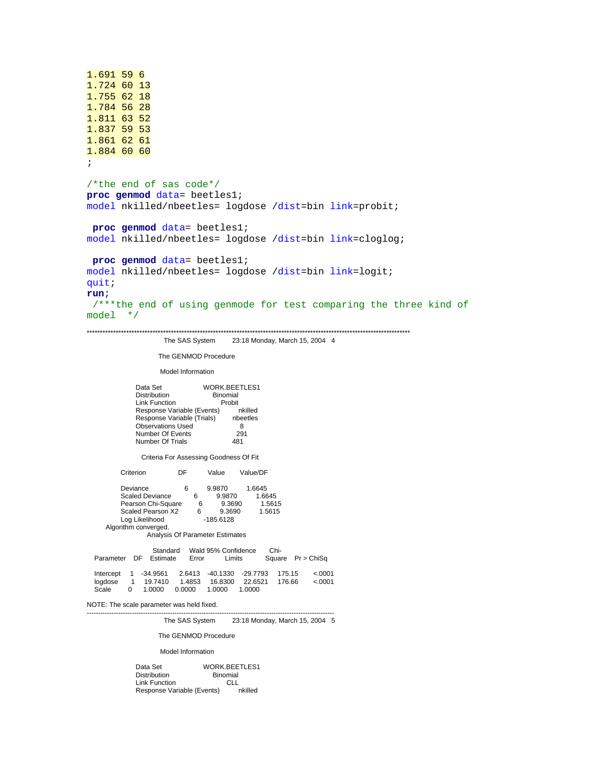```
1.691 59 6 
1.724 60 13 
1.755 62 18 
1.784 56 28 
1.811 63 52 
1.837 59 53 
1.861 62 61 
1.884 60 60 
\mathcal{L}/*the end of sas code*/
proc genmod data= beetles1; 
model nkilled/nbeetles= logdose /dist=bin link=probit; 
proc genmod data= beetles1; 
model nkilled/nbeetles= logdose /dist=bin link=cloglog; 
proc genmod data= beetles1; 
model nkilled/nbeetles= logdose /dist=bin link=logit; 
quit; 
run; 
 /***the end of using genmode for test comparing the three kind of 
model */ 
***************************************************************************************************************************
```
The SAS System 23:18 Monday, March 15, 2004 4

The GENMOD Procedure

Model Information

Data Set WORK.BEETLES1 Distribution Binomial<br>
Link Function Probit Link Function Probit<br>Response Variable (Events) nkilled Response Variable (Events) nkilled<br>Response Variable (Trials) nbeetles Response Variable (Trials) Observations Used 8<br>Number Of Events 291 Number Of Events 29<br>Number Of Trials 481 Number Of Trials

Criteria For Assessing Goodness Of Fit

Criterion DF Value Value/DF

Deviance 6 9.9870 1.6645<br>Scaled Deviance 6 9.9870 1.6645 Scaled Deviance Pearson Chi-Square 6 9.3690 1.5615 Scaled Pearson X2 6 9.3690 1.5615 Log Likelihood Algorithm converged. Analysis Of Parameter Estimates

Standard Wald 95% Confidence Chi-<br>Estimate Error Limits Square Pr > ChiSq Parameter DF Estimate Error

 Intercept 1 -34.9561 2.6413 -40.1330 -29.7793 175.15 <.0001 logdose 1 19.7410 1.4853 16.8300 22.6521 176.66 <.0001 Scale 0 1.0000 0.0000 1.0000 1.0000

--------------------------------------------------------------------------------------------------------------

NOTE: The scale parameter was held fixed.

The SAS System 23:18 Monday, March 15, 2004 5

The GENMOD Procedure

Model Information

| Data Set                   | WORK BEETLES1   |
|----------------------------|-----------------|
| <b>Distribution</b>        | <b>Binomial</b> |
| Link Function              | CLI.            |
| Response Variable (Events) | nkilled         |